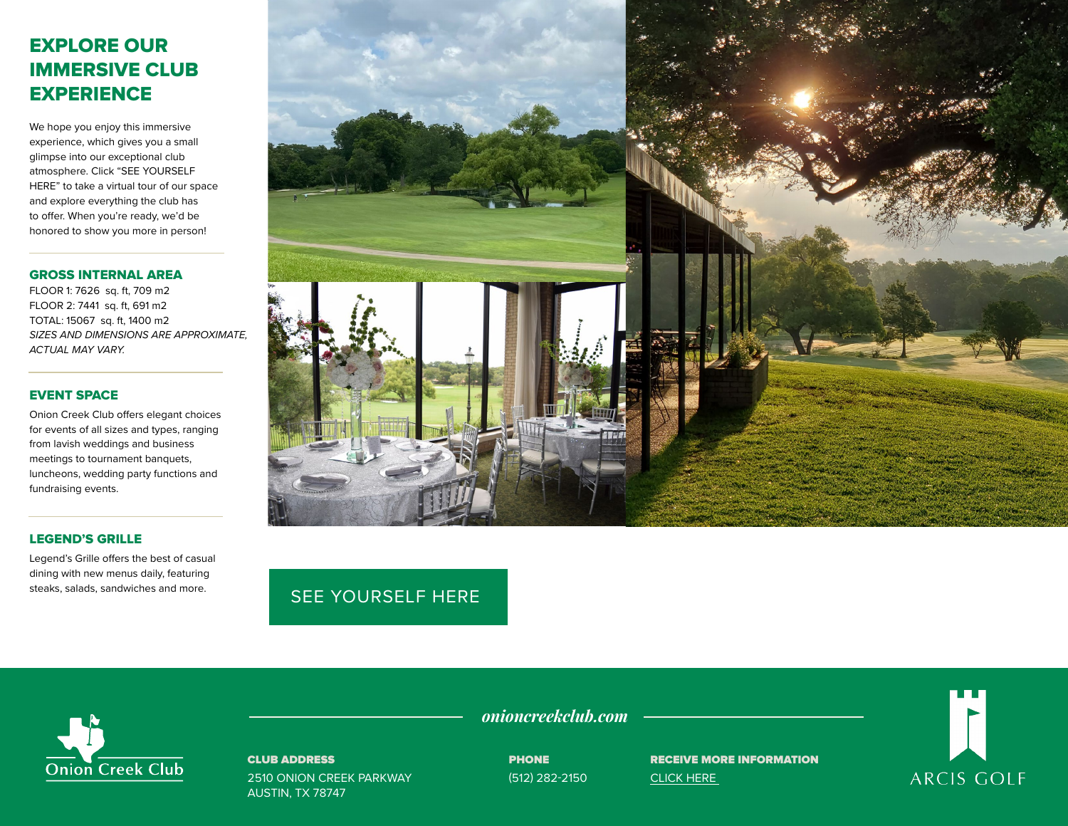# EXPLORE OUR IMMERSIVE CLUB **EXPERIENCE**

We hope you enjoy this immersive experience, which gives you a small glimpse into our exceptional club atmosphere. Click "SEE YOURSELF HERE" to take a virtual tour of our space and explore everything the club has to offer. When you're ready, we'd be honored to show you more in person!

#### GROSS INTERNAL AREA

FLOOR 1: 7626 sq. ft, 709 m2 FLOOR 2: 7441 sq. ft, 691 m2 TOTAL: 15067 sq. ft, 1400 m2 *SIZES AND DIMENSIONS ARE APPROXIMATE, ACTUAL MAY VARY.*

### EVENT SPACE

Onion Creek Club offers elegant choices for events of all sizes and types, ranging from lavish weddings and business meetings to tournament banquets, luncheons, wedding party functions and fundraising events.

### LEGEND'S GRILLE

Legend's Grille offers the best of casual dining with new menus daily, featuring steaks, salads, sandwiches and more.



## [SEE YOURSELF HERE](https://visitingmedia.com/tt8/?ttid=onion-creek-club#/3d-model)



### CLUB ADDRESS

2510 ONION CREEK PARKWAY AUSTIN, TX 78747

*onioncreekclub.com*

**PHONE** (512) 282-2150 RECEIVE MORE INFORMATION [CLICK HERE](https://www.onioncreekclub.com/private-events-vm) 

**ARCIS GOLF**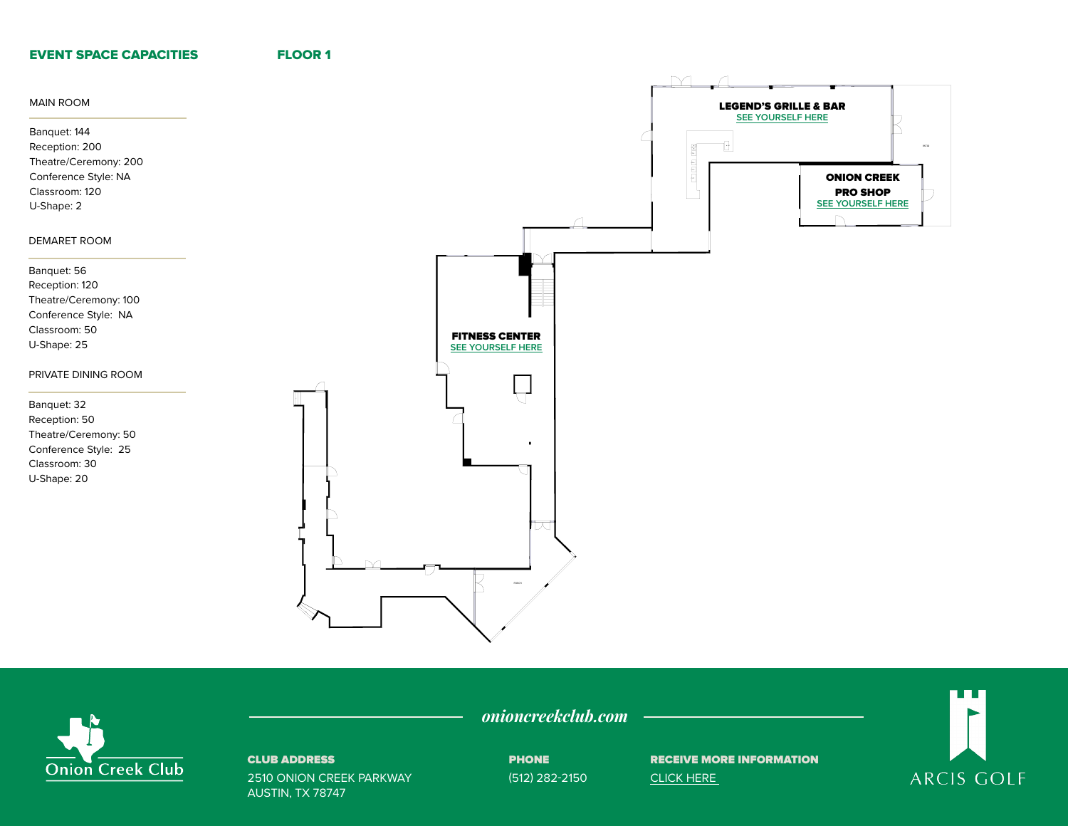### EVENT SPACE CAPACITIES

FLOOR 1





### CLUB ADDRESS

2510 ONION CREEK PARKWAY AUSTIN, TX 78747

PHONE

onioncreekclub.com —————

(512) 282-2150

RECEIVE MORE INFORMATION [CLICK HERE](https://www.onioncreekclub.com/private-events-vm)